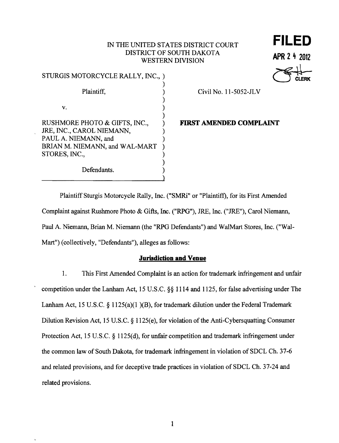# IN THE UNITED STATES DISTRICT COURT DISTRICT OF SOUTH DAKOTA **APR 2 4 2012** WESTERN DIVISION

| STURGIS MOTORCYCLE RALLY, INC., )                 |  |
|---------------------------------------------------|--|
| Plaintiff,                                        |  |
|                                                   |  |
| v.                                                |  |
| RUSHMORE PHOTO & GIFTS, INC.,                     |  |
| JRE, INC., CAROL NIEMANN,<br>PAUL A. NIEMANN, and |  |
| BRIAN M. NIEMANN, and WAL-MART                    |  |
| STORES, INC.,                                     |  |
| Defendants.                                       |  |

#### Civil No. 11-5052-JL V

**FILED**

APR 2 4 2012

# FIRST AMENDED COMPLAINT

 $\ddot{\phantom{a}}$ 

Mart") (collectively, "Defendants"), alleges as follows: Plaintiff Sturgis Motorcycle Rally, Inc. ("SMRi" or "Plaintiff), for its First Amended Complaint against Rushmore Photo & Gifts, Inc. ("RPG"), JRE, Inc. ("JRE"), Carol Niemann, Paul A. Niemann, Brian M. Niemann (the "RPG Defendants") and WalMart Stores, Inc. ("Wal-

)

#### **Jurisdiction and Venue**

1. This First Amended Complaint is an action for trademark infringement and unfair competition under the Lanham Act, 15 U.S.C. §§ 1114 and 1125, for false advertising under The Lanham Act, 15 U.S.C. § 1125(a)(1)(B), for trademark dilution under the Federal Trademark Dilution Revision Act, 15 U.S.C. § 1125(e), for violation of the Anti-Cybersquatting Consumer Protection Act, 15 U.S.C. § 1125(d), for unfair competition and trademark infringement under the common law of South Dakota, for trademark infringement in violation of SDCL Ch. 37-6 and related provisions, and for deceptive trade practices in violation of SDCL Ch. 37-24 and related provisions.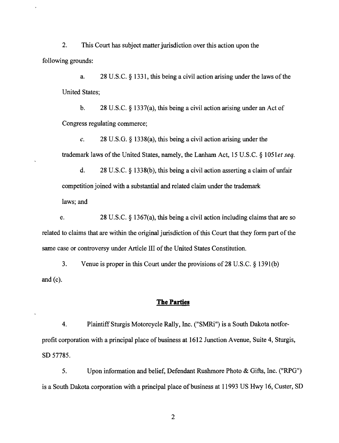2. This Court has subject matter jurisdiction over this action upon the following grounds:

a. 28 U.S.C. § 1331, this being a civil action arising under the laws of the United States;

b. 28 U.S.C. § 1337(a), this being a civil action arising under an Act of Congress regulating commerce;

c. 28 U.S.G.  $\S$  1338(a), this being a civil action arising under the trademark laws of the United States, namely, the Lanham Act, 15 U.S.C. § 1051*et seq.* 

d. 28 U.S.C. § 1338(b), this being a civil action asserting a claim of unfair competition joined with a substantial and related claim under the trademark

laws; and

e. 28 U.S.C. § 1367(a), this being a civil action including claims that are so related to claims that are within the original jurisdiction of this Court that they form part of the same case or controversy under Article III of the United States Constitution.

3. Venue is proper in this Court under the provisions of28 U.S.C. § 1391(b) and  $(c)$ .

### The Parties

4. Plaintiff Sturgis Motorcycle Rally, Inc. ("SMRi") is a South Dakota notforprofit corporation with a principal place of business at 1612 Junction Avenue, Suite 4, Sturgis, SD 57785.

5. Upon information and belief, Defendant Rushmore Photo & Gifts, Inc. ("RPG") is a South Dakota corporation with a principal place of business at 11993 US Hwy 16, Custer, SD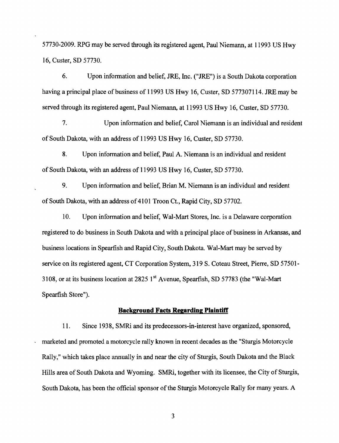57730-2009. RPG may be served through its registered agent, Paul Niemann, at 11993 US Hwy 16, Custer, SD 57730.

6. Upon information and belief, JRE, Inc. ("JRE") is a South Dakota corporation having a principal place of business of 11993 US Hwy 16, Custer, SD 577307114. JRE may be served through its registered agent, Paul Niemann, at 11993 US Hwy 16, Custer, SD 57730.

7. Upon information and belief, Carol Niemann is an individual and resident of South Dakota, with an address of 11993 US Hwy 16, Custer, SD 57730.

8. Upon information and belief, Paul A. Niemann is an individual and resident of South Dakota, with an address of 11993 US Hwy 16, Custer, SD 57730.

9. Upon information and belief, Brian M. Niemann is an individual and resident of South Dakota, with an address of 4101 Troon Ct., Rapid City, SD 57702.

10. Upon information and belief, Wal-Mart Stores, Inc. is a Delaware corporation registered to do business in South Dakota and with a principal place of business in Arkansas, and business locations in Spearfish and Rapid City, South Dakota. Wal-Mart may be served by service on its registered agent, CT Corporation System, 319 S. Coteau Street, Pierre, SD 57501-3108, or at its business location at 2825 1 st Avenue, Spearfish, SD 57783 (the "Wal-Mart Spearfish Store").

#### **Background Facts Regarding Plaintiff**

11. Since 1938, SMRi and its predecessors-in-interest have organized, sponsored, marketed and promoted a motorcycle rally known in recent decades as the "Sturgis Motorcycle Rally," which takes place annually in and near the city of Sturgis, South Dakota and the Black Hills area of South Dakota and Wyoming. SMRi, together with its licensee, the City of Sturgis, South Dakota, has been the official sponsor of the Sturgis Motorcycle Rally for many years. A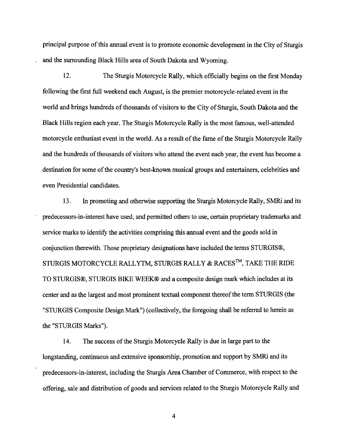principal purpose ofthis annual event is to promote economic development in the City of Sturgis and the surrounding Black Hills area of South Dakota and Wyoming.

12. The Sturgis Motorcycle Rally, which officially begins on the first Monday following the first full weekend each August, is the premier motorcycle-related event in the world and brings hundreds of thousands of visitors to the City of Sturgis, South Dakota and the Black Hills region each year. The Sturgis Motorcycle Rally is the most famous, well-attended motorcycle enthusiast event in the world. As a result of the fame of the Sturgis Motorcycle Rally and the hundreds of thousands of visitors who attend the event each year, the event has become a destination for some of the country's best-known musical groups and entertainers, celebrities and even Presidential candidates.

13. In promoting and otherwise supporting the Sturgis Motorcycle Rally, SMRi and its predecessors-in-interest have used, and permitted others to use, certain proprietary trademarks and service marks to identify the activities comprising this annual event and the goods sold in conjunction therewith. Those proprietary designations have included the terms STURGIS®, STURGIS MOTORCYCLE RALLYTM, STURGIS RALLY & RACES $^{TM}$ , TAKE THE RIDE TO STURGIS®, STURGIS BIKE WEEK® and a composite design mark which includes at its center and as the largest and most prominent textual component thereof the term STURGIS (the "STURGIS Composite Design Mark") (collectively, the foregoing shall be referred to herein as the "STURGIS Marks").

14. The success of the Sturgis Motorcycle Rally is due in large part to the longstanding, continuous and extensive sponsorship, promotion and support by SMRi and its predecessors-in-interest, including the Sturgis Area Chamber of Commerce, with respect to the offering, sale and distribution of goods and services related to the Sturgis Motorcycle Rally and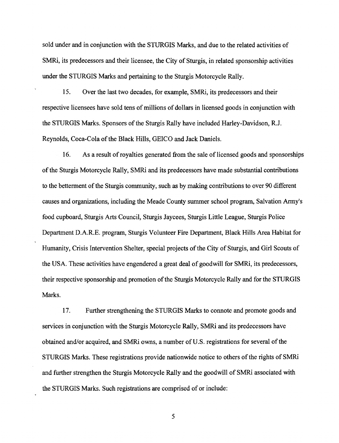sold under and in conjunction with the STURGIS Marks, and due to the related activities of SMRI, its predecessors and their licensee, the City of Sturgis, in related sponsorship activities under the STURGIS Marks and pertaining to the Sturgis Motorcycle Rally.

15. Over the last two decades, for example, SMRi, its predecessors and their respective licensees have sold tens of millions of dollars in licensed goods in conjunction with the STURGIS Marks. Sponsors of the Sturgis Rally have included Harley-Davidson, R.J. Reynolds, Coca-Cola of the Black Hills, GEICO and Jack Daniels.

16. As a result of royalties generated from the sale of licensed goods and sponsorships of the Sturgis Motorcycle Rally, SMRi and its predecessors have made substantial contributions to the betterment of the Sturgis community, such as by making contributions to over 90 different causes and organizations, including the Meade County summer school program, Salvation Army's food cupboard, Sturgis Arts Council, Sturgis Jaycees, Sturgis Little League, Sturgis Police Department D.A.R.E. program, Sturgis Volunteer Fire Department, Black Hills Area Habitat for Humanity, Crisis Intervention Shelter, special projects of the City of Sturgis, and Girl Scouts of the USA. These activities have engendered a great deal of goodwill for SMRi, its predecessors, their respective sponsorship and promotion of the Sturgis Motorcycle Rally and for the STURGIS Marks.

17. Further strengthening the STURGIS Marks to connote and promote goods and services in conjunction with the Sturgis Motorcycle Rally, SMRi and its predecessors have obtained and/or acquired, and SMRi owns, a number of U.S. registrations for several of the STURGIS Marks. These registrations provide nationwide notice to others of the rights of SMRi and further strengthen the Sturgis Motorcycle Rally and the goodwill of SMRi associated with the STURGIS Marks. Such registrations are comprised of or include: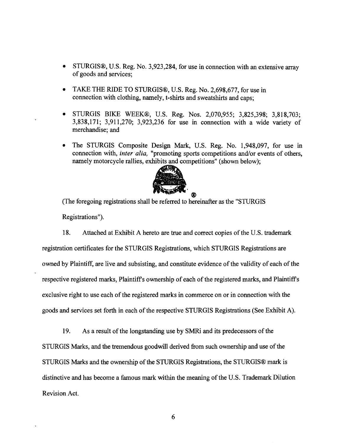- STURGIS®, U.S. Reg. No. 3,923,284, for use in connection with an extensive array of goods and services;
- TAKE THE RIDE TO STURGIS®, U.S. Reg. No. 2,698,677, for use in connection with clothing, namely, t-shirts and sweatshirts and caps;
- STURGIS BIKE WEEK®, U.S. Reg. Nos. 2,070,955; 3,825,398; 3,818,703; 3,838,171; 3,911,270; 3,923,236 for use in connection with a wide variety of merchandise; and
- The STURGIS Composite Design Mark, U.S. Reg. No. 1,948,097, for use in connection with, *inter alia,* "promoting sports competitions and/or events of others, namely motorcycle rallies, exhibits and competitions" (shown below);



w, (The foregoing registrations shall be referred to hereinafter as the "STURGIS

Registrations").

18. Attached at Exhibit A hereto are true and correct copies of the U.S. trademark registration certificates for the STURGIS Registrations, which STURGIS Registrations are owned by Plaintiff, are live and subsisting, and constitute evidence of the validity of each of the respective registered marks, Plaintiff's ownership of each of the registered marks, and Plaintiff's exclusive right to use each of the registered marks in commerce on or in connection with the goods and services set forth in each of the respective STURGIS Registrations (See Exhibit A).

19. As a result of the longstanding use by SMRi and its predecessors of the STURGIS Marks, and the tremendous goodwill derived from such ownership and use of the STURGIS Marks and the ownership of the STURGIS Registrations, the STURGIS® mark is distinctive and has become a famous mark within the meaning of the U.S. Trademark Dilution Revision Act.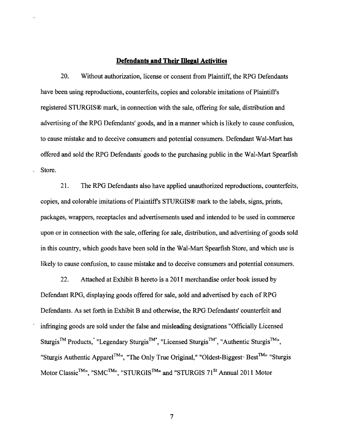#### **Defendants and Their Illegal Activities**

20. Without authorization, license or consent from Plaintiff, the RPG Defendants have been using reproductions, counterfeits, copies and colorable imitations of Plaintiff's registered STURGIS® mark, in connection with the sale, offering for sale, distribution and advertising of the RPG Defendants' goods, and in a manner which is likely to cause confusion, to cause mistake and to deceive consumers and potential consumers. Defendant Wal-Mart has offered and sold the RPG Defendants' goods to the purchasing public in the Wal-Mart Spearfish Store.

21. The RPG Defendants also have applied unauthorized reproductions, counterfeits, copies, and colorable imitations of Plaintiff's STURGIS® mark to the labels, signs, prints, packages, wrappers, receptacles and advertisements used and intended to be used in commerce upon or in connection with the sale, offering for sale, distribution, and advertising of goods sold in this country, which goods have been sold in the Wal-Mart Spearfish Store, and which use is likely to cause confusion, to cause mistake and to deceive consumers and potential consumers.

22. Attached at Exhibit B hereto is a 2011 merchandise order book issued by Defendant RPG, displaying goods offered for sale, sold and advertised by each of RPG Defendants. As set forth in Exhibit B and otherwise, the RPG Defendants' counterfeit and infringing goods are sold under the false and misleading designations "Officially Licensed Sturgis™ Products; "Legendary Sturgis™", "Licensed Sturgis™'', "Authentic Sturgis™", "Sturgis Authentic Apparel<sup>™</sup>", "The Only True Original," "Oldest-Biggest- Best<sup>™</sup>" "Sturgis Motor Classic<sup>TM</sup><sup>n</sup>, "SMC<sup>TM<sub>I</sub>n</sup>, "STURGIS<sup>TM</sup><sup>n</sup> and "STURGIS 71<sup>St</sup> Annual 2011 Motor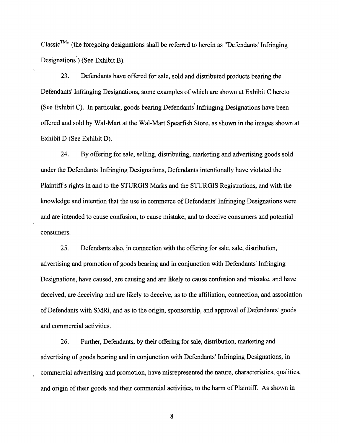Classic<sup>TM<sub>n</sub></sup> (the foregoing designations shall be referred to herein as "Defendants' Infringing Designations<sup>"</sup>) (See Exhibit B).

23. Defendants have offered for sale, sold and distributed products bearing the Defendants' Infringing Designations, some examples of which are shown at Exhibit C hereto (See Exhibit C). In particular, goods bearing Defendants' Infringing Designations have been offered and sold by Wal-Mart at the Wal-Mart Spearfish Store, as shown in the images shown at Exhibit D (See Exhibit D).

24. By offering for sale, selling, distributing, marketing and advertising goods sold under the Defendants' Infringing Designations, Defendants intentionally have violated the Plaintiff s rights in and to the STURGIS Marks and the STURGIS Registrations, and with the knowledge and intention that the use in commerce of Defendants' Infringing Designations were and are intended to cause confusion, to cause mistake, and to deceive consumers and potential consumers.

25. Defendants also, in connection with the offering for sale, sale, distribution, advertising and promotion of goods bearing and in conjunction with Defendants' Infringing Designations, have caused, are causing and are likely to cause confusion and mistake, and have deceived, are deceiving and are likely to deceive, as to the affiliation, connection, and association of Defendants with SMRi, and as to the origin, sponsorship, and approval of Defendants' goods and commercial activities.

26. Further, Defendants, by their offering for sale, distribution, marketing and advertising of goods bearing and in conjunction with Defendants' Infringing Designations, in commercial advertising and promotion, have misrepresented the nature, characteristics, qualities, and origin of their goods and their commercial activities, to the harm of Plaintiff. As shown in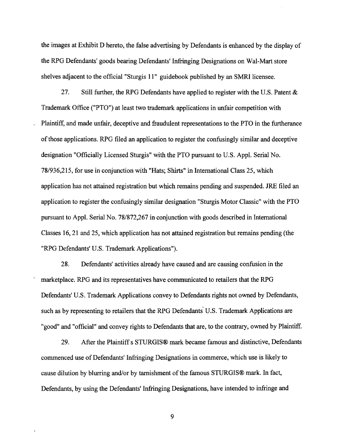the images at Exhibit D hereto, the false advertising by Defendants is enhanced by the display of the RPG Defendants' goods bearing Defendants' Infringing Designations on Wal-Mart store shelves adjacent to the official "Sturgis II" guidebook published by an SMRI licensee.

27. Still further, the RPG Defendants have applied to register with the U.S. Patent & Trademark Office ("PTO") at least two trademark applications in unfair competition with Plaintiff, and made unfair, deceptive and fraudulent representations to the PTO in the furtherance ofthose applications. RPG filed an application to register the confusingly similar and deceptive designation "Officially Licensed Sturgis" with the PTO pursuant to U.S. Appl. Serial No. 78/936,215, for use in conjunction with "Hats; Shirts" in International Class 25, which application has not attained registration but which remains pending and suspended. JRE filed an application to register the confusingly similar designation "Sturgis Motor Classic" with the PTO pursuant to Appl. Serial No. 78/872,267 in conjunction with goods described in International Classes 16,21 and 25, which application has not attained registration but remains pending (the "RPG Defendants' U.S. Trademark Applications").

28. Defendants' activities already have caused and are causing confusion in the marketplace. RPG and its representatives have communicated to retailers that the RPG Defendants' U.S. Trademark Applications convey to Defendants rights not owned by Defendants, such as by representing to retailers that the RPG Defendants U.S. Trademark Applications are "good" and "official" and convey rights to Defendants that are, to the contrary, owned by Plaintiff.

29. After the Plaintiff s STURGIS® mark became famous and distinctive, Defendants commenced use of Defendants' Infringing Designations in commerce, which use is likely to cause dilution by blurring and/or by tarnishment of the famous STURGIS® mark. In fact, Defendants, by using the Defendants' Infringing Designations, have intended to infringe and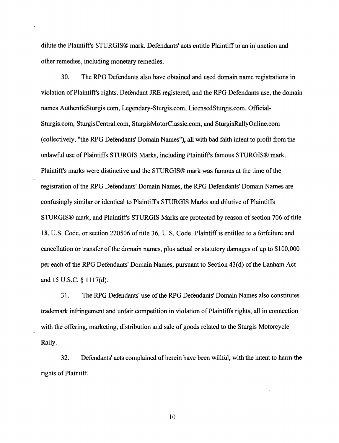dilute the Plaintiffs STURGIS® mark. Defendants' acts entitle Plaintiff to an injunction and other remedies, including monetary remedies.

30. The RPG Defendants also have obtained and used domain name registrations in violation of Plaintiff's rights. Defendant JRE registered, and the RPG Defendants use, the domain names AuthenticSturgis.com, Legendary-Sturgis.com, LieensedSturgis.com, Official-Sturgis.com, SturgisCentral.com, SturgisMotorClassic.com, and SturgisRallyOnline.com (collectively, lithe RPG Defendants' Domain Names"), all with bad faith intent to profit from the unlawful use of Plaintiffs STURGIS Marks, including Plaintiff's famous STURGIS® mark. Plaintiff's marks were distinctive and the STURGIS® mark was famous at the time of the registration ofthe RPG Defendants' Domain Names, the RPG Defendants' Domain Names are confusingly similar or identical to Plaintiff's STURGIS Marks and dilutive of Plaintiffs STURGIS® mark, and Plaintiff's STURGIS Marks are protected by reason of section 706 of title 18, U.S. Code, or section 220506 of title 36, U.S. Code. Plaintiff is entitled to a forfeiture and cancellation or transfer of the domain names, plus actual or statutory damages of up to \$100,000 per each of the RPG Defendants' Domain Names, pursuant to Section 43(d) of the Lanham Act and 15 U.S.C. § 11 17(d).

31. The RPG Defendants' use ofthe RPG Defendants' Domain Names also constitutes trademark infringement and unfair competition in violation of Plaintiffs rights, all in connection with the offering, marketing, distribution and sale of goods related to the Sturgis Motorcycle Rally.

32. Defendants' acts complained ofherein have been willful, with the intent to harm the rights of Plaintiff.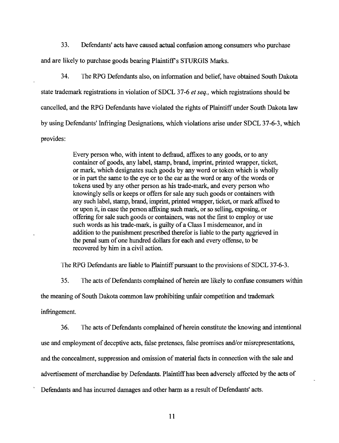33. Defendants' acts have caused actual confusion among consumers who purchase and are likely to purchase goods bearing Plaintiff's STURGIS Marks.

34. Ibe RPG Defendants also, on information and belief, have obtained South Dakota state trademark registrations in violation of SDCL 37-6 *et seq.,* which registrations should be cancelled, and the RPG Defendants have violated the rights of Plaintiff under South Dakota law by using Defendants' Infringing Designations, which violations arise under SDCL 37-6-3, which provides:

> Every person who, with intent to defraud, affixes to any goods, or to any container of goods, any label, stamp, brand, imprint, printed wrapper, ticket, or mark, which designates such goods by any word or token which is wholly or in part the same to the eye or to the ear as the word or any of the words or tokens used by any other person as his trade-mark, and every person who knowingly sells or keeps or offers for sale any such goods or containers with any such label, stamp, brand, imprint, printed wrapper, ticket, or mark affixed to or upon it, in case the person affixing such mark, or so selling, exposing, or offering for sale such goods or containers, was not the first to employ or use such words as his trade-mark, is guilty of a Class I misdemeanor, and in addition to the punishment prescribed therefor is liable to the party aggrieved in the penal sum of one hundred dollars for each and every offense, to be recovered by him in a civil action.

The RPG Defendants are liable to Plaintiff pursuant to the provisions of SDCL 37-6-3.

35. The acts of Defendants complained of herein are likely to confuse consumers within

the meaning of South Dakota common law prohibiting unfair competition and trademark

infringement.

36. The acts of Defendants complained of herein constitute the knowing and intentional use and employment of deceptive acts, false pretenses, false promises and/or misrepresentations, and the concealment, suppression and omission of material facts in connection with the sale and advertisement of merchandise by Defendants. Plaintiff has been adversely affected by the acts of

Defendants and has incurred damages and other harm as a result of Defendants' acts.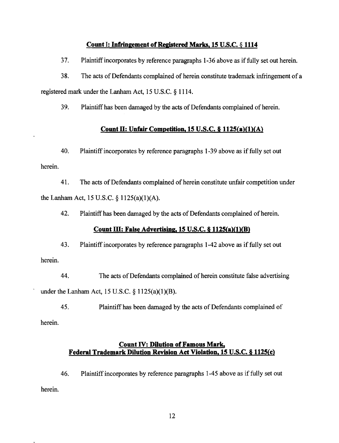### **Count I: Infringement of Registered Marks, 15 U.S.C. § 1114**

37. Plaintiff incorporates by reference paragraphs 1-36 above as iffully set out herein.

38. The acts of Defendants complained of herein constitute trademark infringement of a registered mark under the Lanham Act, 15 U.S.C. § 1114.

39. Plaintiff has been damaged by the acts of Defendants complained of herein.

## **Count II: Unfair Competition. 15 U.S.C. § 1125(a)(1)(A)**

40. Plaintiff incorporates by reference paragraphs 1-39 above as if fully set out herein.

41. The acts of Defendants complained of herein constitute unfair competition under the Lanham Act, 15 U.S.C. § 1125(a)(1)(A).

42. Plaintiff has been damaged by the acts of Defendants complained of herein.

### **Count ill: False Advertising. 15 U.S.C. § 1125(a)(1)(8)**

43. Plaintiff incorporates by reference paragraphs 1-42 above as if fully set out herein.

44. The acts of Defendants complained of herein constitute false advertising under the Lanham Act, 15 U.S.C.  $\S 1125(a)(1)(B)$ .

45. Plaintiff has been damaged by the acts of Defendants complained of herein.

# **Count IV: Dilution of Famous Mark, Federal Trademark Dilution Revision Act Violation, 15 U.S.C. § 1125(c)**

46. Plaintiff incorporates by reference paragraphs 1-45 above as if fully set out herein.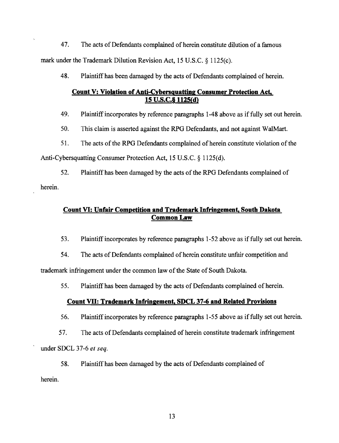47. The acts of Defendants complained of herein constitute dilution of a famous mark under the Trademark Dilution Revision Act, 15 U.S.C. § 1125(c).

48. Plaintiff has been damaged by the acts of Defendants complained of herein.

# **Count V: Violation of Anti-Cybersquatting Consumer Protection Act,** 15 U.S.C.<sub>§</sub> 1125(d)

49. Plaintiff incorporates by reference paragraphs 1-48 above as if fully set out herein.

50. This claim is asserted against the RPG Defendants, and not against WaiMart.

51. The acts of the RPG Defendants complained of herein constitute violation of the

Anti-Cybersquatting Consumer Protection Act, 15 U.S.C. § 1125(d).

52. Plaintiff has been damaged by the acts of the RPG Defendants complained of herein.

# **Count VI: Unfair Competition and Trademark Infringement, South Dakota**  Common Law

53. Plaintiff incorporates by reference paragraphs 1-52 above as if fully set out herein.

54. The acts of Defendants complained of herein constitute unfair competition and

trademark infringement under the common law of the State of South Dakota.

55. Plaintiff has been damaged by the acts of Defendants complained of herein.

# **Count VII: Trademark Infringement, SDCL 37-6 and Related Provisions**

56. Plaintiffincorporates by reference paragraphs 1-55 above as iffully set out herein.

57. The acts of Defendants complained of herein constitute trademark infringement

under SDCL 37-6 *et seq.* 

58. Plaintiff has been damaged by the acts of Defendants complained of

herein.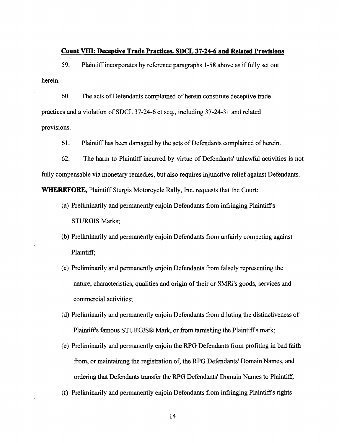#### **Count VIII: Deceptive Trade Practices. SDCL 37-24-6 and Related Provisions**

59. Plaintiff incorporates by reference paragraphs 1-58 above as iffully set out herein.

60. The acts of Defendants complained of herein constitute deceptive trade practices and a violation of SDCL 37-24-6 et seq., including 37-24-31 and related provisions.

61. Plaintiff has been damaged by the acts of Defendants complained of herein.

62. The harm to Plaintiff incurred by virtue of Defendants' unlawful activities is not fully compensable via monetary remedies, but also requires injunctive relief against Defendants. **WHEREFORE,** Plaintiff Sturgis Motorcycle Rally, Inc. requests that the Court:

- (a) Preliminarily and permanently enjoin Defendants from infringing Plaintiff's STURGIS Marks;
- (b) Preliminarily and permanently enjoin Defendants from unfairly competing against Plaintiff;
- (c) Preliminarily and permanently enjoin Defendants from falsely representing the nature, characteristics, qualities and origin of their or SMRi's goods, services and commercial activities;
- (d) Preliminarily and permanently enjoin Defendants from diluting the distinctiveness of Plaintiff's famous STURGIS® Mark, or from tarnishing the Plaintiff's mark;
- (e) Preliminarily and permanently enjoin the RPG Defendants from profiting in bad faith from, or maintaining the registration of, the RPG Defendants' Domain Names, and ordering that Defendants transfer the RPG Defendants' Domain Names to Plaintiff;
- (t) Preliminarily and permanently enjoin Defendants from infringing Plaintiff's rights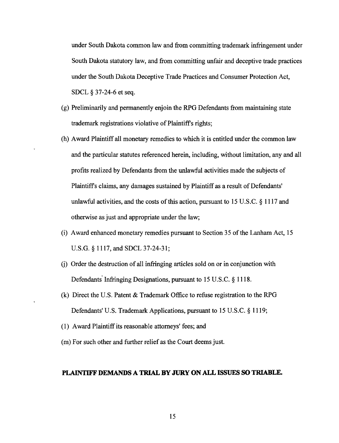under South Dakota common law and from committing trademark infringement under South Dakota statutory law, and from committing unfair and deceptive trade practices under the South Dakota Deceptive Trade Practices and Consumer Protection Act, SDCL § 37-24-6 et seq.

- (g) Preliminarily and permanently enjoin the RPG Defendants from maintaining state trademark registrations violative of Plaintiff's rights;
- (h) Award Plaintiff all monetary remedies to which it is entitled under the common law and the particular statutes referenced herein, including, without limitation, any and all profits realized by Defendants from the unlawful activities made the subjects of Plaintiffs claims, any damages sustained by Plaintiff as a result of Defendants' unlawful activities, and the costs of this action, pursuant to  $15 \text{ U.S.C.}$  § 1117 and otherwise as just and appropriate under the law;
- (i) Award enhanced monetary remedies pursuant to Section 35 of the Lanham Act, 15 U.S.G. § 1117, and SDCL 37-24-31;
- G) Order the destruction of all infringing articles sold on or in conjunction with Defendants' Infringing Designations, pursuant to 15 U.S.C. § 1118.
- (k) Direct the U.S. Patent & Trademark Office to refuse registration to the RPG Defendants' U.S. Trademark Applications, pursuant to 15 U.S.C. § 1119;
- (1) Award Plaintiff its reasonable attorneys' fees; and
- (m) For such other and further relief as the Court deems just.

#### **PLAINTIFF DEMANDS A TRIAL BY JURY ON ALL ISSUES SO TRIABLE.**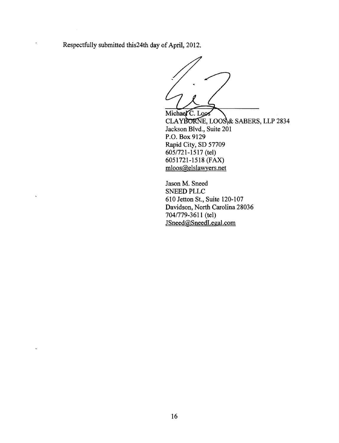Respectfully submitted this 24th day of April, 2012.

Michael C. Loos CLAYBORNE, LOOS & SABERS, LLP 2834 Jackson Blvd., Suite 201 P.O. Box 9129 Rapid City, SD 57709 6051721-1517 (tel) 6051721-1518 (FAX) mloos@elslawyers.net

Jason M. Sneed SNEED PLLC 610 Jetton St., Suite 120-107 Davidson, North Carolina 28036 7041779-3611 (tel) JSneed@SneedLegal.com